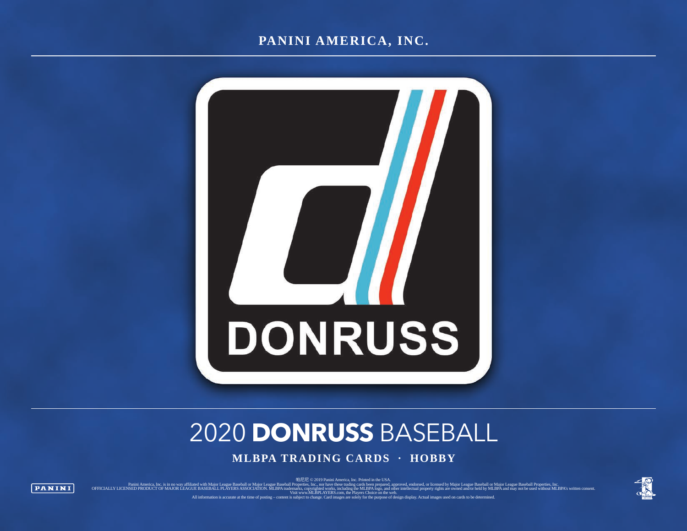### **PANINI AMERICA, INC.**



# 2020 **DONRUSS** BASEBALL

**MLBPA TRADING CARDS · HOBBY**

帕尼尼 © 2019 Panini America, Inc. Printed in the USA.

Panini America, Inc. is in no wa affiliated with Major League Baseball or Major League Baseball Properties, Inc., one, nor have these trading cards been prepared, approved, ended by Microsophy inglus are owned and or held

**PANINI** 



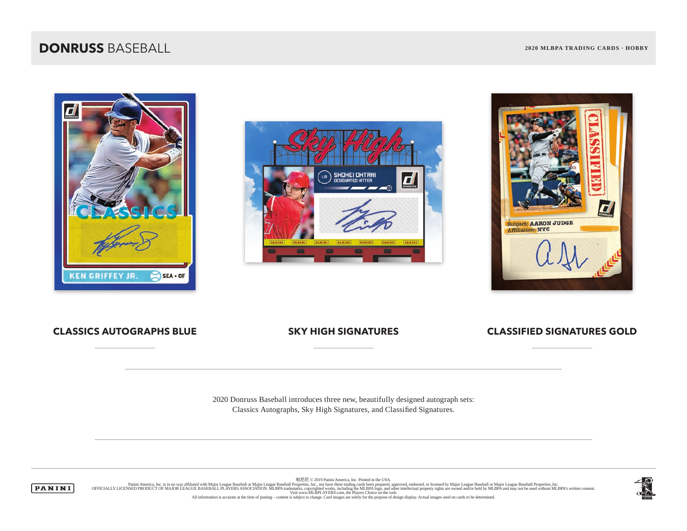





#### **CLASSICS AUTOGRAPHS BLUE SKY HIGH SIGNATURES CLASSIFIED SIGNATURES GOLD**

2020 Donruss Baseball introduces three new, beautifully designed autograph sets: Classics Autographs, Sky High Signatures, and Classified Signatures.



帕尼尼 © 2019 Panini America, Inc. Printed in the USA. Panini America, Inc. is in no way affiliated with Major League Baseball or Major League Baseball expertises, Inc. with Experted and the present of Major America, the company of Major League Baseball or Major League Basebal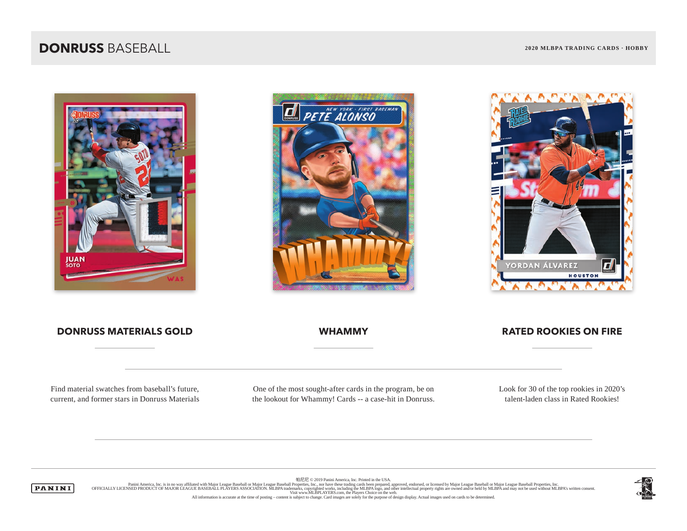





#### **DONRUSS MATERIALS GOLD WHAMMY RATED ROOKIES ON FIRE**

Find material swatches from baseball's future, current, and former stars in Donruss Materials

One of the most sought-after cards in the program, be on the lookout for Whammy! Cards -- a case-hit in Donruss. Look for 30 of the top rookies in 2020's talent-laden class in Rated Rookies!

帕尼尼 © 2019 Panini America, Inc. Printed in the USA.



Panini America, Inc. is in no way affiliated with Major League Baseball or Major League Baseball expertises, Inc. with Experted and the present of Major America, the company of Major League Baseball or Major League Basebal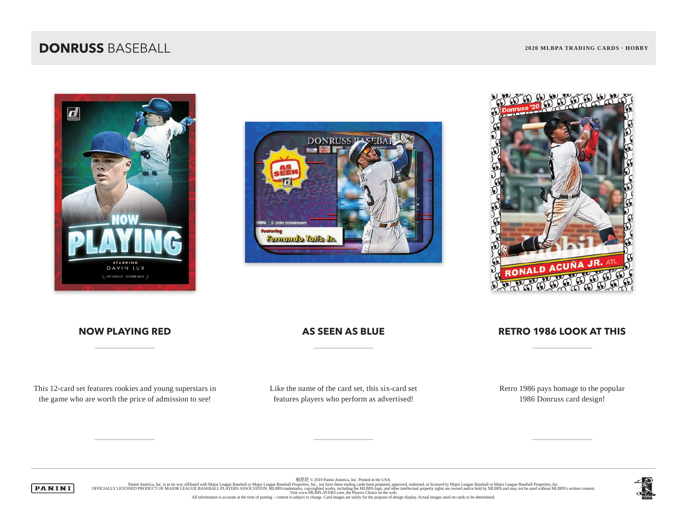





#### **NOW PLAYING RED AS SEEN AS BLUE RETRO 1986 LOOK AT THIS**

This 12-card set features rookies and young superstars in the game who are worth the price of admission to see!

Like the name of the card set, this six-card set features players who perform as advertised!

Retro 1986 pays homage to the popular 1986 Donruss card design!

帕尼尼 © 2019 Panini America, Inc. Printed in the USA.



Panini America, Inc. is in no way affiliated with Major League Baseball or Major League Baseball expertises, Inc. with Experted and the present of Major America, the company of Major League Baseball or Major League Basebal

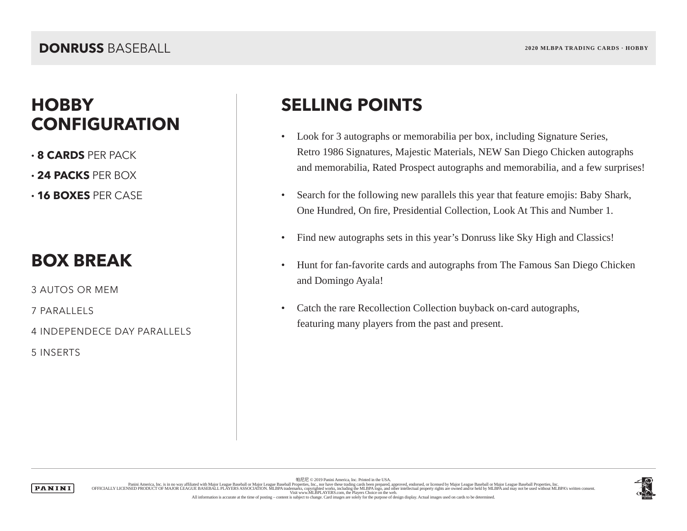## **HOBBY SELLING POINTS CONFIGURATION**

- **· 8 CARDS** PER PACK
- **· 24 PACKS** PER BOX
- **· 16 BOXES** PER CASE

## **BOX BREAK**

3 AUTOS OR MEM

7 PARALLELS

4 INDEPENDECE DAY PARALLELS

5 INSERTS

- Look for 3 autographs or memorabilia per box, including Signature Series, Retro 1986 Signatures, Majestic Materials, NEW San Diego Chicken autographs and memorabilia, Rated Prospect autographs and memorabilia, and a few surprises!
- Search for the following new parallels this year that feature emojis: Baby Shark, One Hundred, On fire, Presidential Collection, Look At This and Number 1.
- Find new autographs sets in this year's Donruss like Sky High and Classics!
- Hunt for fan-favorite cards and autographs from The Famous San Diego Chicken and Domingo Ayala!
- Catch the rare Recollection Collection buyback on-card autographs, featuring many players from the past and present.

**PANINI** 

帕尼尼 © 2019 Panini America, Inc. Printed in the USA. Panini America, Inc. is in no way affiliated with Major League Baseball or Major League Baseball expertises, Inc. with Experted and the present of Major America, the company of Major League Baseball or Major League Basebal